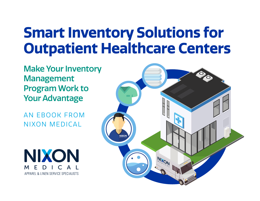# **Smart Inventory Solutions for Outpatient Healthcare Centers**

Make Your Inventory Management Program Work to Your Advantage

AN EBOOK FROM NIXON MEDICAL

NIXON M APPAREL & LINEN SERVICE SPECIALISTS

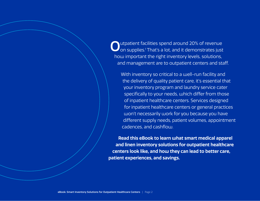Outpatient facilities spend around 20% of revenue<br>Oon supplies.<sup>1</sup> That's a lot, and it demonstrates just how important the right inventory levels, solutions, and management are to outpatient centers and staff.

With inventory so critical to a well-run facility and the delivery of quality patient care, it's essential that your inventory program and laundry service cater specifically to your needs, which differ from those of inpatient healthcare centers. Services designed for inpatient healthcare centers or general practices won't necessarily work for you because you have different supply needs, patient volumes, appointment cadences, and cashflow.

**Read this eBook to learn what smart medical apparel and linen inventory solutions for outpatient healthcare centers look like, and how they can lead to better care, patient experiences, and savings.**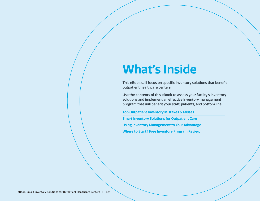# **What's Inside**

This eBook will focus on specific inventory solutions that benefit outpatient healthcare centers.

Use the contents of this eBook to assess your facility's inventory solutions and implement an effective inventory management program that will benefit your staff, patients, and bottom line.

**Top Outpatient Inventory Mistakes & Misses** 

**Smart Inventory Solutions for Outpatient Care**

**Using Inventory Management to Your Advantage** 

**Where to Start? Free Inventory Program Review**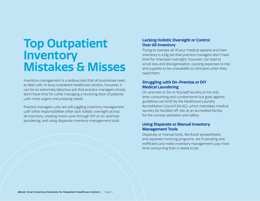## **Top Outpatient Inventory Mistakes & Misses**

Inventory management is a tedious task that all businesses need to deal with. In busy outpatient healthcare centers, however, it can be an extremely laborious job that practice managers simply don't have time for while managing a revolving door of patients with more urgent and pressing needs.

Practice managers who are still juggling inventory management with other responsibilities often lack holistic oversight across all inventory, creating more work through DIY or on-premise laundering, and using disparate inventory management tools.

### **Lacking Holistic Oversight or Control Over All Inventory**

Trying to oversee all of your medical apparel and linen inventory is a big job that practice managers don't have time for. Improper oversight, however, can lead to scrub loss and disorganization, causing expenses to rise and supplies to be unavailable to clinicians when they need them.

### **Struggling with On-Premise or DIY Medical Laundering**

On-premise or Do-It-Yourself laundry is not only time-consuming and cumbersome but goes against guidelines set forth by the Healthcare Laundry Accreditation Council (HLAC), which mandates medical laundry be handled off-site at an accredited facility for the utmost sanitation and safety.

### **Using Disparate or Manual Inventory Management Tools**

Disparate or manual tools, like Excel spreadsheets and separate invoicing programs, are frustrating and inefficient and make inventory management way more time consuming than it needs to be.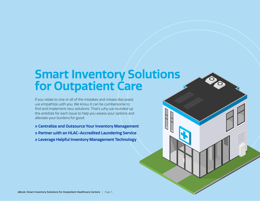## **Smart Inventory Solutions for Outpatient Care**

If you relate to one or all of the mistakes and misses discussed, we empathize with you. We know it can be cumbersome to find and implement new solutions. That's why we rounded up the antidote for each issue to help you assess your options and alleviate your burdens for good.

**» Centralize and Outsource Your Inventory Management** 

**» Partner with an HLAC-Accredited Laundering Service** 

**» Leverage Helpful Inventory Management Technology**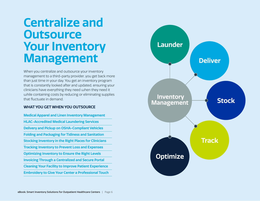## **Centralize and Outsource Your Inventory Management**

When you centralize and outsource your inventory management to a third-party provider, you get back more than just time in your day. You get an inventory program that is constantly looked after and updated, ensuring your clinicians have everything they need when they need it while containing costs by reducing or eliminating supplies that fluctuate in demand.

#### **WHAT YOU GET WHEN YOU OUTSOURCE**

**Medical Apparel and Linen Inventory Management HLAC-Accredited Medical Laundering Services Delivery and Pickup on OSHA-Compliant Vehicles Folding and Packaging for Tidiness and Sanitation Stocking Inventory in the Right Places for Clinicians Tracking Inventory to Prevent Loss and Expenses Optimizing Inventory to Ensure the Right Levels Invoicing Through a Centralized and Secure Portal Cleaning Your Facility to Improve Patient Experience Embroidery to Give Your Center a Professional Touch** 

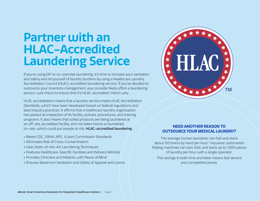## **Partner with an HLAC-Accredited Laundering Service**

If you're using DIY or on-premise laundering, it's time to increase your sanitation and safety and rid yourself of laundry burdens by using a Healthcare Laundry Accreditation Council (HLAC)-accredited laundering service. If you've decided to outsource your inventory management, your provider likely offers a laundering service—just check to ensure that it's HLAC-accredited. Here's why.

HLAC accreditation means that a laundry service meets HLAC Accreditation Standards, which have been developed based on federal regulations and best industry practices. It affirms that a healthcare laundry organization has passed an inspection of its facility, policies, procedures, and training programs. It also means that soiled products are being laundered at an off-site, accredited facility, and not taken home or laundered on-site, which could put people at risk. **HLAC-accredited laundering**:

- » Meets CDC, OSHA, APIC, & Joint Commission Standards
- » Eliminates Risk of Cross-Contamination
- » Uses State-of-the-Art Laundering Techniques
- » Features Healthcare-Specific Facilities and Delivery Vehicles
- » Provides Clinicians and Patients with Peace of Mind
- » Ensures Maximum Sanitation and Safety of Apparel and Linens



### **NEED ANOTHER REASON TO OUTSOURCE YOUR MEDICAL LAUNDRY?**

The average human launderer can fold and stack about 120 linens by hand per hour.2 However, automated folding machines can sort, fold, and stack up to 1,000 pieces of laundry per hour with a single operator.

This savings in both time and labor means fast service and competitive prices.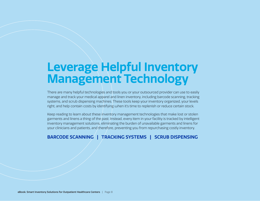## **Leverage Helpful Inventory Management Technology**

There are many helpful technologies and tools you or your outsourced provider can use to easily manage and track your medical apparel and linen inventory, including barcode scanning, tracking systems, and scrub dispensing machines. These tools keep your inventory organized, your levels right, and help contain costs by identifying when it's time to replenish or reduce certain stock.

Keep reading to learn about these inventory management technologies that make lost or stolen garments and linens a thing of the past. Instead, every item in your facility is tracked by intelligent inventory management solutions, eliminating the burden of unavailable garments and linens for your clinicians and patients, and therefore, preventing you from repurchasing costly inventory.

### **BARCODE SCANNING | TRACKING SYSTEMS | SCRUB DISPENSING**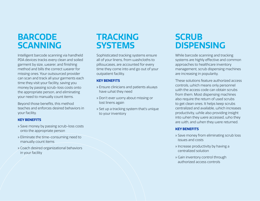## **BARCODE SCANNING**

Intelligent barcode scanning via handheld PDA devices tracks every clean and soiled garment by size, wearer, and finishing method and bills the correct wearer for missing ones. Your outsourced provider can scan and track all your garments each time they visit your facility, saving you money by passing scrub-loss costs onto the appropriate person, and eliminating your need to manually count items.

Beyond those benefits, this method teaches and enforces desired behaviors in your facility.

#### **KEY BENEFITS**

- » Save money by passing scrub-loss costs onto the appropriate person
- » Eliminate the time-consuming need to manually count items
- » Coach desired organizational behaviors in your facility

## **TRACKING SYSTEMS**

Sophisticated tracking systems ensure all of your linens, from washcloths to pillowcases, are accounted for every time they come into and go out of your outpatient facility.

#### **KEY BENEFITS**

- » Ensure clinicians and patients always have what they need
- » Don't ever worry about missing or lost linens again
- » Set up a tracking system that's unique to your inventory

## **SCRUB DISPENSING**

While barcode scanning and tracking systems are highly effective and common approaches to healthcare inventory management, scrub dispensing machines are increasing in popularity.

These solutions feature authorized access controls, which means only personnel with the access code can obtain scrubs from them. Most dispensing machines also require the return of used scrubs to get clean ones. It helps keep scrubs centralized and available, which increases productivity, while also providing insight into when they were accessed, who they are with, and when they were returned.

#### **KEY BENEFITS**

- » Save money from eliminating scrub loss issues and costs
- » Increase productivity by having a centralized solution
- » Gain inventory control through authorized access controls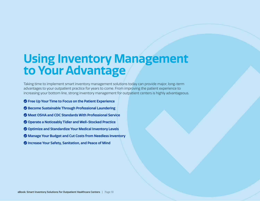# **Using Inventory Management to Your Advantage**

Taking time to implement smart inventory management solutions today can provide major, long-term advantages to your outpatient practice for years to come. From improving the patient experience to increasing your bottom line, strong inventory management for outpatient centers is highly advantageous.

- **Free Up Your Time to Focus on the Patient Experience**
- **Become Sustainable Through Professional Laundering**
- **Meet OSHA and CDC Standards With Professional Service**
- **Operate a Noticeably Tidier and Well-Stocked Practice**
- **Optimize and Standardize Your Medical Inventory Levels**
- **Manage Your Budget and Cut Costs from Needless Inventory**
- $\bullet$  **Increase Your Safety, Sanitation, and Peace of Mind**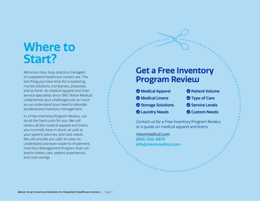## **Where to Start?**

We know how busy practice managers of outpatient healthcare centers are. The last thing you have time for is exploring myriad solutions, companies, proposals, and so forth. As medical apparel and linen service specialists since 1967, Nixon Medical understands your challenges just as much as we understand your need to alleviate burdensome inventory management.

In a Free Inventory Program Review, we do all the hard work for you. We will review all the medical apparel and linens you currently have in stock, as well as your patient volumes, and care needs. We will provide you with an easy-tounderstand and even easier to implement, Inventory Management Program that will lead to better care, patient experiences, and cost savings.

### **Get a Free Inventory Program Review**

 **Medical Apparel Medical Linens Storage Solutions Laundry Needs** 

- **Patient Volume**
- **Type of Care**
- **Service Levels**
- **Custom Needs**

Contact us for a Free Inventory Program Review or a quote on medical apparel and linens.

nixonmedical.com (866) 300-8870 info@nixonmedical.com